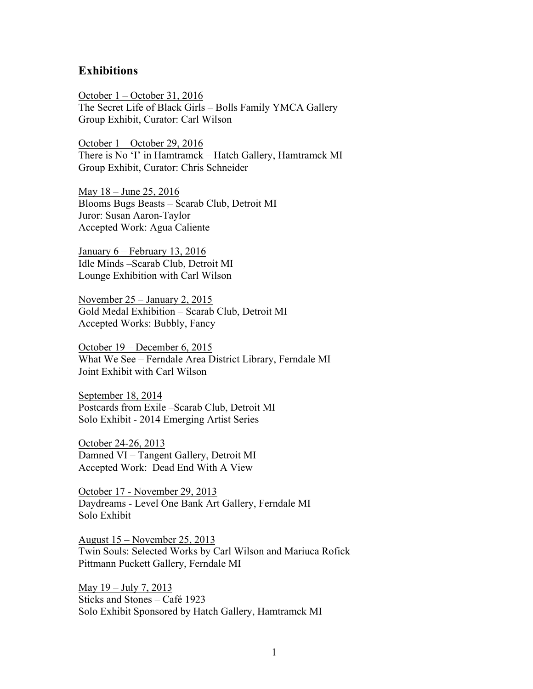## **Exhibitions**

October 1 – October 31, 2016 The Secret Life of Black Girls – Bolls Family YMCA Gallery Group Exhibit, Curator: Carl Wilson

October 1 – October 29, 2016 There is No 'I' in Hamtramck – Hatch Gallery, Hamtramck MI Group Exhibit, Curator: Chris Schneider

May 18 – June 25, 2016 Blooms Bugs Beasts – Scarab Club, Detroit MI Juror: Susan Aaron-Taylor Accepted Work: Agua Caliente

January 6 – February 13, 2016 Idle Minds –Scarab Club, Detroit MI Lounge Exhibition with Carl Wilson

November 25 – January 2, 2015 Gold Medal Exhibition – Scarab Club, Detroit MI Accepted Works: Bubbly, Fancy

October 19 – December 6, 2015 What We See – Ferndale Area District Library, Ferndale MI Joint Exhibit with Carl Wilson

September 18, 2014 Postcards from Exile –Scarab Club, Detroit MI Solo Exhibit - 2014 Emerging Artist Series

October 24-26, 2013 Damned VI – Tangent Gallery, Detroit MI Accepted Work: Dead End With A View

October 17 - November 29, 2013 Daydreams - Level One Bank Art Gallery, Ferndale MI Solo Exhibit

August 15 – November 25, 2013 Twin Souls: Selected Works by Carl Wilson and Mariuca Rofick Pittmann Puckett Gallery, Ferndale MI

May 19 – July 7, 2013 Sticks and Stones – Café 1923 Solo Exhibit Sponsored by Hatch Gallery, Hamtramck MI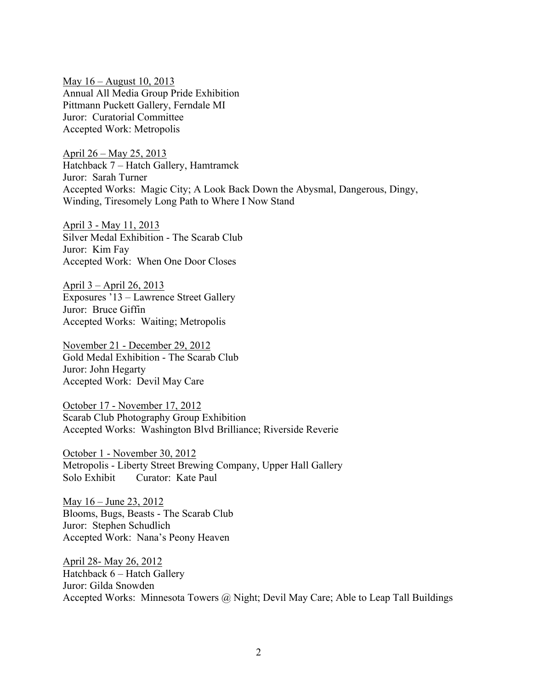May 16 – August 10, 2013 Annual All Media Group Pride Exhibition Pittmann Puckett Gallery, Ferndale MI Juror: Curatorial Committee Accepted Work: Metropolis

April 26 – May 25, 2013 Hatchback 7 – Hatch Gallery, Hamtramck Juror: Sarah Turner Accepted Works: Magic City; A Look Back Down the Abysmal, Dangerous, Dingy, Winding, Tiresomely Long Path to Where I Now Stand

April 3 - May 11, 2013 Silver Medal Exhibition - The Scarab Club Juror: Kim Fay Accepted Work: When One Door Closes

April 3 – April 26, 2013 Exposures '13 – Lawrence Street Gallery Juror: Bruce Giffin Accepted Works: Waiting; Metropolis

November 21 - December 29, 2012 Gold Medal Exhibition - The Scarab Club Juror: John Hegarty Accepted Work: Devil May Care

October 17 - November 17, 2012 Scarab Club Photography Group Exhibition Accepted Works: Washington Blvd Brilliance; Riverside Reverie

October 1 - November 30, 2012 Metropolis - Liberty Street Brewing Company, Upper Hall Gallery Solo Exhibit Curator: Kate Paul

May 16 – June 23, 2012 Blooms, Bugs, Beasts - The Scarab Club Juror: Stephen Schudlich Accepted Work: Nana's Peony Heaven

April 28- May 26, 2012 Hatchback 6 – Hatch Gallery Juror: Gilda Snowden Accepted Works: Minnesota Towers @ Night; Devil May Care; Able to Leap Tall Buildings